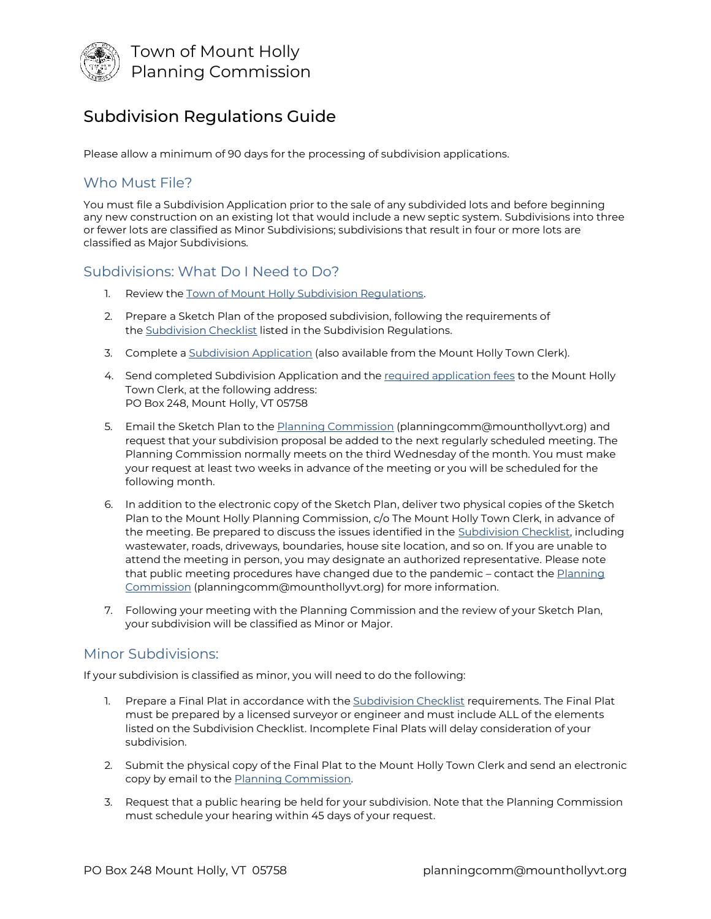

# Subdivision Regulations Guide

Please allow a minimum of 90 days for the processing of subdivision applications.

## Who Must File?

You must file a Subdivision Application prior to the sale of any subdivided lots and before beginning any new construction on an existing lot that would include a new septic system. Subdivisions into three or fewer lots are classified as Minor Subdivisions; subdivisions that result in four or more lots are classified as Major Subdivisions.

## Subdivisions: What Do I Need to Do?

- 1. Review the [Town of Mount Holly Subdivision Regulations.](http://www.mounthollyvt.org/wp-content/uploads/2020/10/Mount-Holly-Subdivision-Regulations-Adopted-3-3-98.pdf)
- 2. Prepare a Sketch Plan of the proposed subdivision, following the requirements of the [Subdivision Checklist](http://www.mounthollyvt.org/wp-content/uploads/2020/10/subdivision-checklist2020.pdf) listed in the Subdivision Regulations.
- 3. Complete a [Subdivision Application](http://www.mounthollyvt.org/wp-content/uploads/2021/05/Subdivision-Application-Form.pdf) (also available from the Mount Holly Town Clerk).
- 4. Send completed Subdivision Application and the [required application fees](http://www.mounthollyvt.org/wp-content/uploads/2020/12/Mount-Holly-Application-Fees-Schedule-as-adopted-2020-11-10.pdf) to the Mount Holly Town Clerk, at the following address: PO Box 248, Mount Holly, VT 05758
- 5. Email the Sketch Plan to the **[Planning Commission](mailto:planningcomm@mounthollyvt.org)** (planningcomm@mounthollyvt.org) and request that your subdivision proposal be added to the next regularly scheduled meeting. The Planning Commission normally meets on the third Wednesday of the month. You must make your request at least two weeks in advance of the meeting or you will be scheduled for the following month.
- 6. In addition to the electronic copy of the Sketch Plan, deliver two physical copies of the Sketch Plan to the Mount Holly Planning Commission, c/o The Mount Holly Town Clerk, in advance of the meeting. Be prepared to discuss the issues identified in the [Subdivision Checklist,](http://www.mounthollyvt.org/wp-content/uploads/2020/10/subdivision-checklist2020.pdf) including wastewater, roads, driveways, boundaries, house site location, and so on. If you are unable to attend the meeting in person, you may designate an authorized representative. Please note that public meeting procedures have changed due to the pandemic - contact the Planning [Commission](mailto:planningcomm@mounthollyvt.org) (planningcomm@mounthollyvt.org) for more information.
- 7. Following your meeting with the Planning Commission and the review of your Sketch Plan, your subdivision will be classified as Minor or Major.

## Minor Subdivisions:

If your subdivision is classified as minor, you will need to do the following:

- Prepare a Final Plat in accordance with the [Subdivision Checklist](http://www.mounthollyvt.org/wp-content/uploads/2020/10/subdivision-checklist2020.pdf) requirements. The Final Plat must be prepared by a licensed surveyor or engineer and must include ALL of the elements listed on the Subdivision Checklist. Incomplete Final Plats will delay consideration of your subdivision.
- 2. Submit the physical copy of the Final Plat to the Mount Holly Town Clerk and send an electronic copy by email to the [Planning Commission.](mailto:planningcomm@mounthollyvt.org)
- 3. Request that a public hearing be held for your subdivision. Note that the Planning Commission must schedule your hearing within 45 days of your request.